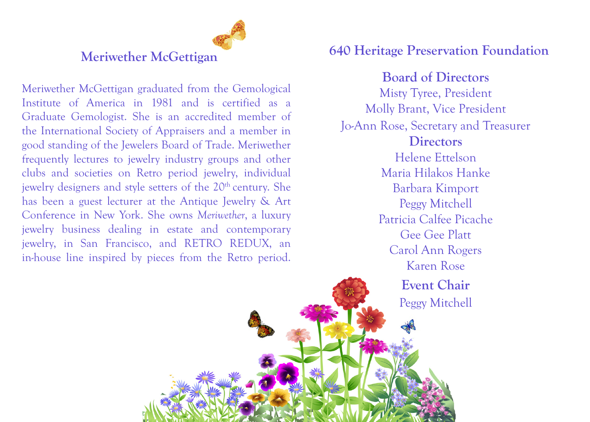

Meriwether McGettigan graduated from the Gemological Institute of America in 1981 and is certified as a Graduate Gemologist. She is an accredited member of the International Society of Appraisers and a member in good standing of the Jewelers Board of Trade. Meriwether frequently lectures to jewelry industry groups and other clubs and societies on Retro period jewelry, individual jewelry designers and style setters of the 20<sup>th</sup> century. She has been a guest lecturer at the Antique Jewelry & Art Conference in New York. She owns *Meriwether*, a luxury jewelry business dealing in estate and contemporary jewelry, in San Francisco, and RETRO REDUX, an in-house line inspired by pieces from the Retro period.

## **640 Heritage Preservation Foundation**

**Board of Directors** Misty Tyree, President Molly Brant, Vice President Jo-Ann Rose, Secretary and Treasurer **Directors** Helene Ettelson Maria Hilakos Hanke Barbara Kimport Peggy Mitchell Patricia Calfee Picache Gee Gee Platt Carol Ann Rogers Karen Rose **Event Chair** Peggy Mitchell